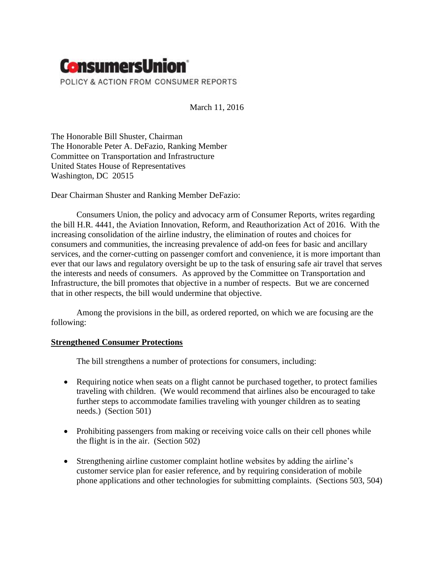

March 11, 2016

The Honorable Bill Shuster, Chairman The Honorable Peter A. DeFazio, Ranking Member Committee on Transportation and Infrastructure United States House of Representatives Washington, DC 20515

Dear Chairman Shuster and Ranking Member DeFazio:

Consumers Union, the policy and advocacy arm of Consumer Reports, writes regarding the bill H.R. 4441, the Aviation Innovation, Reform, and Reauthorization Act of 2016. With the increasing consolidation of the airline industry, the elimination of routes and choices for consumers and communities, the increasing prevalence of add-on fees for basic and ancillary services, and the corner-cutting on passenger comfort and convenience, it is more important than ever that our laws and regulatory oversight be up to the task of ensuring safe air travel that serves the interests and needs of consumers. As approved by the Committee on Transportation and Infrastructure, the bill promotes that objective in a number of respects. But we are concerned that in other respects, the bill would undermine that objective.

Among the provisions in the bill, as ordered reported, on which we are focusing are the following:

# **Strengthened Consumer Protections**

The bill strengthens a number of protections for consumers, including:

- Requiring notice when seats on a flight cannot be purchased together, to protect families traveling with children. (We would recommend that airlines also be encouraged to take further steps to accommodate families traveling with younger children as to seating needs.) (Section 501)
- Prohibiting passengers from making or receiving voice calls on their cell phones while the flight is in the air. (Section 502)
- Strengthening airline customer complaint hotline websites by adding the airline's customer service plan for easier reference, and by requiring consideration of mobile phone applications and other technologies for submitting complaints. (Sections 503, 504)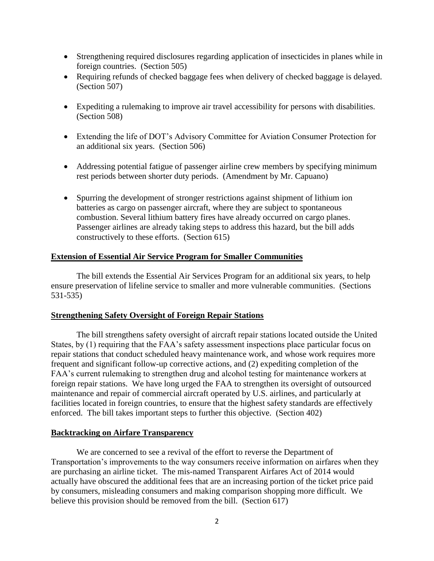- Strengthening required disclosures regarding application of insecticides in planes while in foreign countries. (Section 505)
- Requiring refunds of checked baggage fees when delivery of checked baggage is delayed. (Section 507)
- Expediting a rulemaking to improve air travel accessibility for persons with disabilities. (Section 508)
- Extending the life of DOT's Advisory Committee for Aviation Consumer Protection for an additional six years. (Section 506)
- Addressing potential fatigue of passenger airline crew members by specifying minimum rest periods between shorter duty periods. (Amendment by Mr. Capuano)
- Spurring the development of stronger restrictions against shipment of lithium ion batteries as cargo on passenger aircraft, where they are subject to spontaneous combustion. Several lithium battery fires have already occurred on cargo planes. Passenger airlines are already taking steps to address this hazard, but the bill adds constructively to these efforts. (Section 615)

# **Extension of Essential Air Service Program for Smaller Communities**

The bill extends the Essential Air Services Program for an additional six years, to help ensure preservation of lifeline service to smaller and more vulnerable communities. (Sections 531-535)

# **Strengthening Safety Oversight of Foreign Repair Stations**

The bill strengthens safety oversight of aircraft repair stations located outside the United States, by (1) requiring that the FAA's safety assessment inspections place particular focus on repair stations that conduct scheduled heavy maintenance work, and whose work requires more frequent and significant follow-up corrective actions, and (2) expediting completion of the FAA's current rulemaking to strengthen drug and alcohol testing for maintenance workers at foreign repair stations. We have long urged the FAA to strengthen its oversight of outsourced maintenance and repair of commercial aircraft operated by U.S. airlines, and particularly at facilities located in foreign countries, to ensure that the highest safety standards are effectively enforced. The bill takes important steps to further this objective. (Section 402)

# **Backtracking on Airfare Transparency**

We are concerned to see a revival of the effort to reverse the Department of Transportation's improvements to the way consumers receive information on airfares when they are purchasing an airline ticket. The mis-named Transparent Airfares Act of 2014 would actually have obscured the additional fees that are an increasing portion of the ticket price paid by consumers, misleading consumers and making comparison shopping more difficult. We believe this provision should be removed from the bill. (Section 617)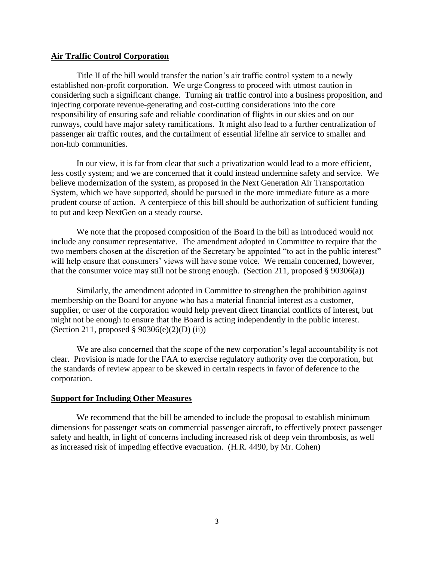#### **Air Traffic Control Corporation**

Title II of the bill would transfer the nation's air traffic control system to a newly established non-profit corporation. We urge Congress to proceed with utmost caution in considering such a significant change. Turning air traffic control into a business proposition, and injecting corporate revenue-generating and cost-cutting considerations into the core responsibility of ensuring safe and reliable coordination of flights in our skies and on our runways, could have major safety ramifications. It might also lead to a further centralization of passenger air traffic routes, and the curtailment of essential lifeline air service to smaller and non-hub communities.

In our view, it is far from clear that such a privatization would lead to a more efficient, less costly system; and we are concerned that it could instead undermine safety and service. We believe modernization of the system, as proposed in the Next Generation Air Transportation System, which we have supported, should be pursued in the more immediate future as a more prudent course of action. A centerpiece of this bill should be authorization of sufficient funding to put and keep NextGen on a steady course.

We note that the proposed composition of the Board in the bill as introduced would not include any consumer representative. The amendment adopted in Committee to require that the two members chosen at the discretion of the Secretary be appointed "to act in the public interest" will help ensure that consumers' views will have some voice. We remain concerned, however, that the consumer voice may still not be strong enough. (Section 211, proposed § 90306(a))

Similarly, the amendment adopted in Committee to strengthen the prohibition against membership on the Board for anyone who has a material financial interest as a customer, supplier, or user of the corporation would help prevent direct financial conflicts of interest, but might not be enough to ensure that the Board is acting independently in the public interest. (Section 211, proposed § 90306(e)(2)(D) (ii))

We are also concerned that the scope of the new corporation's legal accountability is not clear. Provision is made for the FAA to exercise regulatory authority over the corporation, but the standards of review appear to be skewed in certain respects in favor of deference to the corporation.

#### **Support for Including Other Measures**

We recommend that the bill be amended to include the proposal to establish minimum dimensions for passenger seats on commercial passenger aircraft, to effectively protect passenger safety and health, in light of concerns including increased risk of deep vein thrombosis, as well as increased risk of impeding effective evacuation. (H.R. 4490, by Mr. Cohen)